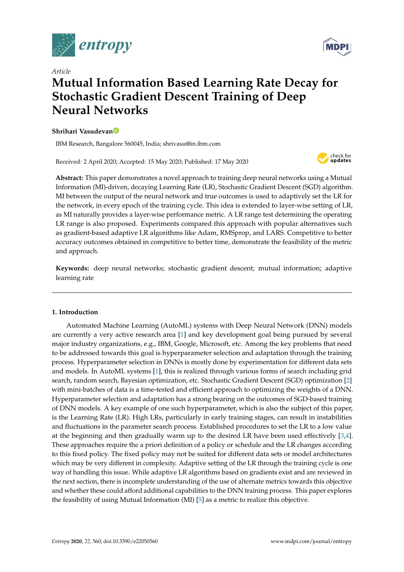



# *Article* **Mutual Information Based Learning Rate Decay for Stochastic Gradient Descent Training of Deep Neural Networks**

## **Shrihari Vasudeva[n](https://orcid.org/0000-0001-6799-7587)**

IBM Research, Bangalore 560045, India; shrivasu@in.ibm.com

Received: 2 April 2020; Accepted: 15 May 2020; Published: 17 May 2020



**Abstract:** This paper demonstrates a novel approach to training deep neural networks using a Mutual Information (MI)-driven, decaying Learning Rate (LR), Stochastic Gradient Descent (SGD) algorithm. MI between the output of the neural network and true outcomes is used to adaptively set the LR for the network, in every epoch of the training cycle. This idea is extended to layer-wise setting of LR, as MI naturally provides a layer-wise performance metric. A LR range test determining the operating LR range is also proposed. Experiments compared this approach with popular alternatives such as gradient-based adaptive LR algorithms like Adam, RMSprop, and LARS. Competitive to better accuracy outcomes obtained in competitive to better time, demonstrate the feasibility of the metric and approach.

**Keywords:** deep neural networks; stochastic gradient descent; mutual information; adaptive learning rate

# **1. Introduction**

Automated Machine Learning (AutoML) systems with Deep Neural Network (DNN) models are currently a very active research area [\[1\]](#page-13-0) and key development goal being pursued by several major industry organizations, e.g., IBM, Google, Microsoft, etc. Among the key problems that need to be addressed towards this goal is hyperparameter selection and adaptation through the training process. Hyperparameter selection in DNNs is mostly done by experimentation for different data sets and models. In AutoML systems [\[1\]](#page-13-0), this is realized through various forms of search including grid search, random search, Bayesian optimization, etc. Stochastic Gradient Descent (SGD) optimization [\[2\]](#page-13-1) with mini-batches of data is a time-tested and efficient approach to optimizing the weights of a DNN. Hyperparameter selection and adaptation has a strong bearing on the outcomes of SGD-based training of DNN models. A key example of one such hyperparameter, which is also the subject of this paper, is the Learning Rate (LR). High LRs, particularly in early training stages, can result in instabilities and fluctuations in the parameter search process. Established procedures to set the LR to a low value at the beginning and then gradually warm up to the desired LR have been used effectively [\[3,](#page-13-2)[4\]](#page-13-3). These approaches require the a priori definition of a policy or schedule and the LR changes according to this fixed policy. The fixed policy may not be suited for different data sets or model architectures which may be very different in complexity. Adaptive setting of the LR through the training cycle is one way of handling this issue. While adaptive LR algorithms based on gradients exist and are reviewed in the next section, there is incomplete understanding of the use of alternate metrics towards this objective and whether these could afford additional capabilities to the DNN training process. This paper explores the feasibility of using Mutual Information (MI) [\[5\]](#page-13-4) as a metric to realize this objective.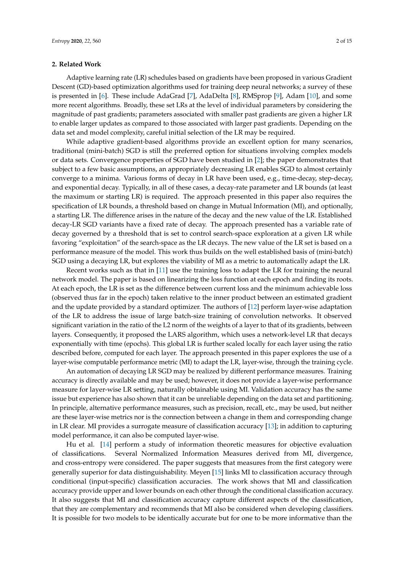#### **2. Related Work**

Adaptive learning rate (LR) schedules based on gradients have been proposed in various Gradient Descent (GD)-based optimization algorithms used for training deep neural networks; a survey of these is presented in [\[6\]](#page-13-5). These include AdaGrad [\[7\]](#page-13-6), AdaDelta [\[8\]](#page-13-7), RMSprop [\[9\]](#page-13-8), Adam [\[10\]](#page-14-0), and some more recent algorithms. Broadly, these set LRs at the level of individual parameters by considering the magnitude of past gradients; parameters associated with smaller past gradients are given a higher LR to enable larger updates as compared to those associated with larger past gradients. Depending on the data set and model complexity, careful initial selection of the LR may be required.

While adaptive gradient-based algorithms provide an excellent option for many scenarios, traditional (mini-batch) SGD is still the preferred option for situations involving complex models or data sets. Convergence properties of SGD have been studied in [\[2\]](#page-13-1); the paper demonstrates that subject to a few basic assumptions, an appropriately decreasing LR enables SGD to almost certainly converge to a minima. Various forms of decay in LR have been used, e.g., time-decay, step-decay, and exponential decay. Typically, in all of these cases, a decay-rate parameter and LR bounds (at least the maximum or starting LR) is required. The approach presented in this paper also requires the specification of LR bounds, a threshold based on change in Mutual Information (MI), and optionally, a starting LR. The difference arises in the nature of the decay and the new value of the LR. Established decay-LR SGD variants have a fixed rate of decay. The approach presented has a variable rate of decay governed by a threshold that is set to control search-space exploration at a given LR while favoring "exploitation" of the search-space as the LR decays. The new value of the LR set is based on a performance measure of the model. This work thus builds on the well established basis of (mini-batch) SGD using a decaying LR, but explores the viability of MI as a metric to automatically adapt the LR.

Recent works such as that in [\[11\]](#page-14-1) use the training loss to adapt the LR for training the neural network model. The paper is based on linearizing the loss function at each epoch and finding its roots. At each epoch, the LR is set as the difference between current loss and the minimum achievable loss (observed thus far in the epoch) taken relative to the inner product between an estimated gradient and the update provided by a standard optimizer. The authors of [\[12\]](#page-14-2) perform layer-wise adaptation of the LR to address the issue of large batch-size training of convolution networks. It observed significant variation in the ratio of the L2 norm of the weights of a layer to that of its gradients, between layers. Consequently, it proposed the LARS algorithm, which uses a network-level LR that decays exponentially with time (epochs). This global LR is further scaled locally for each layer using the ratio described before, computed for each layer. The approach presented in this paper explores the use of a layer-wise computable performance metric (MI) to adapt the LR, layer-wise, through the training cycle.

An automation of decaying LR SGD may be realized by different performance measures. Training accuracy is directly available and may be used; however, it does not provide a layer-wise performance measure for layer-wise LR setting, naturally obtainable using MI. Validation accuracy has the same issue but experience has also shown that it can be unreliable depending on the data set and partitioning. In principle, alternative performance measures, such as precision, recall, etc., may be used, but neither are these layer-wise metrics nor is the connection between a change in them and corresponding change in LR clear. MI provides a surrogate measure of classification accuracy [\[13\]](#page-14-3); in addition to capturing model performance, it can also be computed layer-wise.

Hu et al. [\[14\]](#page-14-4) perform a study of information theoretic measures for objective evaluation of classifications. Several Normalized Information Measures derived from MI, divergence, and cross-entropy were considered. The paper suggests that measures from the first category were generally superior for data distinguishability. Meyen [\[15\]](#page-14-5) links MI to classification accuracy through conditional (input-specific) classification accuracies. The work shows that MI and classification accuracy provide upper and lower bounds on each other through the conditional classification accuracy. It also suggests that MI and classification accuracy capture different aspects of the classification, that they are complementary and recommends that MI also be considered when developing classifiers. It is possible for two models to be identically accurate but for one to be more informative than the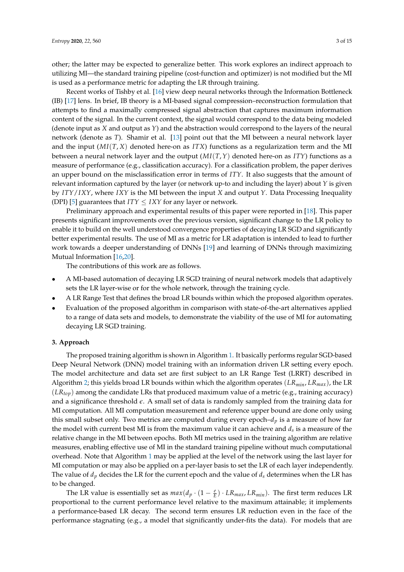other; the latter may be expected to generalize better. This work explores an indirect approach to utilizing MI—the standard training pipeline (cost-function and optimizer) is not modified but the MI is used as a performance metric for adapting the LR through training.

Recent works of Tishby et al. [\[16\]](#page-14-6) view deep neural networks through the Information Bottleneck (IB) [\[17\]](#page-14-7) lens. In brief, IB theory is a MI-based signal compression–reconstruction formulation that attempts to find a maximally compressed signal abstraction that captures maximum information content of the signal. In the current context, the signal would correspond to the data being modeled (denote input as *X* and output as *Y*) and the abstraction would correspond to the layers of the neural network (denote as *T*). Shamir et al. [\[13\]](#page-14-3) point out that the MI between a neural network layer and the input  $(MI(T, X)$  denoted here-on as *ITX*) functions as a regularization term and the MI between a neural network layer and the output (*MI*(*T*,*Y*) denoted here-on as *ITY*) functions as a measure of performance (e.g., classification accuracy). For a classification problem, the paper derives an upper bound on the misclassification error in terms of *ITY*. It also suggests that the amount of relevant information captured by the layer (or network up-to and including the layer) about *Y* is given by *ITY*/*IXY*, where *IXY* is the MI between the input *X* and output *Y*. Data Processing Inequality (DPI) [\[5\]](#page-13-4) guarantees that  $ITY \leq IXY$  for any layer or network.

Preliminary approach and experimental results of this paper were reported in [\[18\]](#page-14-8). This paper presents significant improvements over the previous version, significant change to the LR policy to enable it to build on the well understood convergence properties of decaying LR SGD and significantly better experimental results. The use of MI as a metric for LR adaptation is intended to lead to further work towards a deeper understanding of DNNs [\[19\]](#page-14-9) and learning of DNNs through maximizing Mutual Information [\[16](#page-14-6)[,20\]](#page-14-10).

The contributions of this work are as follows.

- A MI-based automation of decaying LR SGD training of neural network models that adaptively sets the LR layer-wise or for the whole network, through the training cycle.
- A LR Range Test that defines the broad LR bounds within which the proposed algorithm operates.
- Evaluation of the proposed algorithm in comparison with state-of-the-art alternatives applied to a range of data sets and models, to demonstrate the viability of the use of MI for automating decaying LR SGD training.

#### **3. Approach**

The proposed training algorithm is shown in Algorithm [1.](#page-3-0) It basically performs regular SGD-based Deep Neural Network (DNN) model training with an information driven LR setting every epoch. The model architecture and data set are first subject to an LR Range Test (LRRT) described in Algorithm [2;](#page-4-0) this yields broad LR bounds within which the algorithm operates (*LRmin*, *LRmax*), the LR (*LRtop*) among the candidate LRs that produced maximum value of a metric (e.g., training accuracy) and a significance threshold *e*. A small set of data is randomly sampled from the training data for MI computation. All MI computation measurement and reference upper bound are done only using this small subset only. Two metrics are computed during every epoch– $d<sub>p</sub>$  is a measure of how far the model with current best MI is from the maximum value it can achieve and *d<sup>s</sup>* is a measure of the relative change in the MI between epochs. Both MI metrics used in the training algorithm are relative measures, enabling effective use of MI in the standard training pipeline without much computational overhead. Note that Algorithm [1](#page-3-0) may be applied at the level of the network using the last layer for MI computation or may also be applied on a per-layer basis to set the LR of each layer independently. The value of  $d_p$  decides the LR for the current epoch and the value of  $d_s$  determines when the LR has to be changed.

The LR value is essentially set as  $max(d_p \cdot (1 - \frac{e}{E}) \cdot LR_{max}, LR_{min})$ . The first term reduces LR proportional to the current performance level relative to the maximum attainable; it implements a performance-based LR decay. The second term ensures LR reduction even in the face of the performance stagnating (e.g., a model that significantly under-fits the data). For models that are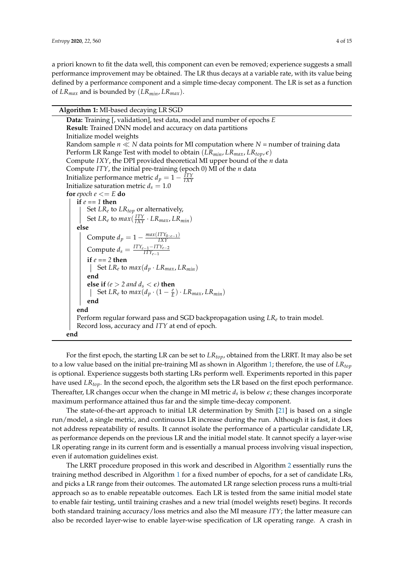a priori known to fit the data well, this component can even be removed; experience suggests a small performance improvement may be obtained. The LR thus decays at a variable rate, with its value being defined by a performance component and a simple time-decay component. The LR is set as a function of *LRmax* and is bounded by (*LRmin*, *LRmax*).

**Algorithm 1:** MI-based decaying LR SGD

<span id="page-3-0"></span>**Data:** Training [, validation], test data, model and number of epochs *E* **Result:** Trained DNN model and accuracy on data partitions Initialize model weights Random sample  $n \ll N$  data points for MI computation where  $N =$  number of training data Perform LR Range Test with model to obtain  $(LR_{min}, LR_{max}, LR_{top}, \epsilon)$ Compute *IXY*, the DPI provided theoretical MI upper bound of the *n* data Compute *ITY*, the initial pre-training (epoch 0) MI of the *n* data Initialize performance metric  $d_p = 1 - \frac{ITY}{IXY}$ Initialize saturation metric  $d_s = 1.0$ **for** *epoch*  $e \leq E$  **do if** *e == 1* **then** Set *LR<sup>e</sup>* to *LRtop* or alternatively, Set  $LR_e$  to  $max(\frac{ITY}{IXY} \cdot LR_{max}, LR_{min})$ **else** Compute  $d_p = 1 - \frac{max(ITY_{0:e-1})}{IXY}$ *IXY* Compute  $d_s = \frac{ITY_{e-1} - ITY_{e-2}}{ITY_{e-1}}$ *ITYe*−<sup>1</sup> **if** *e == 2* **then**  $\left| \right.$  Set *LR*<sup>*e*</sup> to *max*(*d*<sub>*p*</sub>  $\cdot$  *LR*<sub>*max*</sub>, *LR*<sub>*min*</sub>) **end else if**  $(e > 2$  *and*  $d_s < \epsilon$ *)* **then** Set  $LR_e$  to  $max(d_p \cdot (1 - \frac{e}{E}) \cdot LR_{max}, LR_{min})$ **end end** Perform regular forward pass and SGD backpropagation using *LR<sup>e</sup>* to train model. Record loss, accuracy and *ITY* at end of epoch. **end**

For the first epoch, the starting LR can be set to *LRtop*, obtained from the LRRT. It may also be set to a low value based on the initial pre-training MI as shown in Algorithm [1;](#page-3-0) therefore, the use of *LRtop* is optional. Experience suggests both starting LRs perform well. Experiments reported in this paper have used *LRtop*. In the second epoch, the algorithm sets the LR based on the first epoch performance. Thereafter, LR changes occur when the change in MI metric *d<sup>s</sup>* is below *e*; these changes incorporate maximum performance attained thus far and the simple time-decay component.

The state-of-the-art approach to initial LR determination by Smith [\[21\]](#page-14-11) is based on a single run/model, a single metric, and continuous LR increase during the run. Although it is fast, it does not address repeatability of results. It cannot isolate the performance of a particular candidate LR, as performance depends on the previous LR and the initial model state. It cannot specify a layer-wise LR operating range in its current form and is essentially a manual process involving visual inspection, even if automation guidelines exist.

The LRRT procedure proposed in this work and described in Algorithm [2](#page-4-0) essentially runs the training method described in Algorithm [1](#page-3-0) for a fixed number of epochs, for a set of candidate LRs, and picks a LR range from their outcomes. The automated LR range selection process runs a multi-trial approach so as to enable repeatable outcomes. Each LR is tested from the same initial model state to enable fair testing, until training crashes and a new trial (model weights reset) begins. It records both standard training accuracy/loss metrics and also the MI measure *ITY*; the latter measure can also be recorded layer-wise to enable layer-wise specification of LR operating range. A crash in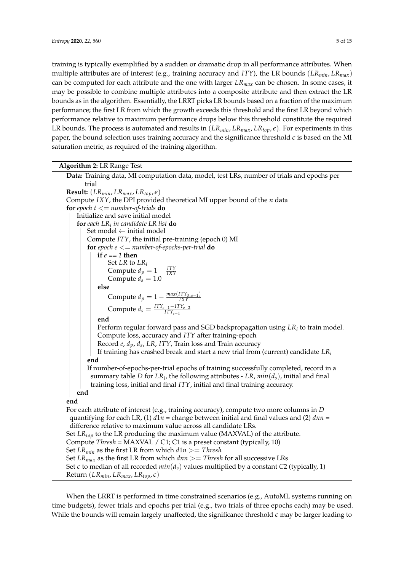training is typically exemplified by a sudden or dramatic drop in all performance attributes. When multiple attributes are of interest (e.g., training accuracy and *ITY*), the LR bounds (*LRmin*, *LRmax*) can be computed for each attribute and the one with larger *LRmax* can be chosen. In some cases, it may be possible to combine multiple attributes into a composite attribute and then extract the LR bounds as in the algorithm. Essentially, the LRRT picks LR bounds based on a fraction of the maximum performance; the first LR from which the growth exceeds this threshold and the first LR beyond which performance relative to maximum performance drops below this threshold constitute the required LR bounds. The process is automated and results in  $(LR_{min}, LR_{max}, LR_{top}, \epsilon)$ . For experiments in this paper, the bound selection uses training accuracy and the significance threshold  $\epsilon$  is based on the MI saturation metric, as required of the training algorithm.

| Algorithm 2: LR Range Test |  |  |  |  |
|----------------------------|--|--|--|--|
|----------------------------|--|--|--|--|

**Data:** Training data, MI computation data, model, test LRs, number of trials and epochs per trial **Result:**  $(LR_{min}, LR_{max}, LR_{top}, \epsilon)$ Compute *IXY*, the DPI provided theoretical MI upper bound of the *n* data **for** *epoch*  $t \leq$  *number-of-trials* **do** Initialize and save initial model **for** *each LR<sup>i</sup> in candidate LR list* **do** Set model  $\leftarrow$  initial model Compute *ITY*, the initial pre-training (epoch 0) MI **for** epoch  $e \leq$  *number-of-epochs-per-trial* **do if** *e == 1* **then** Set *LR* to *LR<sup>i</sup>* Compute  $d_p = 1 - \frac{ITY}{IXY}$ Compute  $d^2_s = 1.0$ **else** Compute  $d_p = 1 - \frac{max(ITY_{0:e-1})}{IXY}$ *IXY*  $\text{Compute } d_s = \frac{ITY_{e-1} - ITY_{e-2}}{ITY_{e-1}}$ *ITYe*−<sup>1</sup> **end** Perform regular forward pass and SGD backpropagation using *LR<sup>i</sup>* to train model. Compute loss, accuracy and *ITY* after training-epoch Record *e*, *dp*, *d<sup>s</sup>* , *LR*, *ITY*, Train loss and Train accuracy If training has crashed break and start a new trial from (current) candidate *LR<sup>i</sup>* **end** If number-of-epochs-per-trial epochs of training successfully completed, record in a summary table *D* for *LR<sup>i</sup>* , the following attributes - *LR*, *min*(*ds*), initial and final training loss, initial and final *ITY*, initial and final training accuracy. **end end** For each attribute of interest (e.g., training accuracy), compute two more columns in *D* quantifying for each LR, (1) *d*1*n* = change between initial and final values and (2) *dnn* = difference relative to maximum value across all candidate LRs. Set *LRtop* to the LR producing the maximum value (MAXVAL) of the attribute. Compute *Thresh* = MAXVAL / C1; C1 is a preset constant (typically, 10) Set *LR*<sub>min</sub> as the first LR from which  $d1n \geq T$ *hresh* Set  $LR_{max}$  as the first LR from which  $dnn \geq 7$ *hresh* for all successive LRs Set  $\epsilon$  to median of all recorded  $min(d_s)$  values multiplied by a constant *C*2 (typically, 1)  $R$ **eturn**  $(LR_{min}, LR_{max}, LR_{top}, \epsilon)$ 

<span id="page-4-0"></span>When the LRRT is performed in time constrained scenarios (e.g., AutoML systems running on time budgets), fewer trials and epochs per trial (e.g., two trials of three epochs each) may be used. While the bounds will remain largely unaffected, the significance threshold *e* may be larger leading to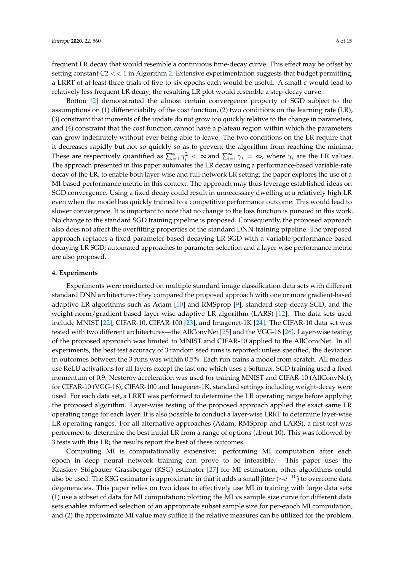frequent LR decay that would resemble a continuous time-decay curve. This effect may be offset by setting constant *C*2 << 1 in Algorithm [2.](#page-4-0) Extensive experimentation suggests that budget permitting, a LRRT of at least three trials of five-to-six epochs each would be useful. A small *e* would lead to relatively less frequent LR decay; the resulting LR plot would resemble a step-decay curve.

Bottou [\[2\]](#page-13-1) demonstrated the almost certain convergence property of SGD subject to the assumptions on (1) differentiabilty of the cost function, (2) two conditions on the learning rate (LR), (3) constraint that moments of the update do not grow too quickly relative to the change in parameters, and (4) constraint that the cost function cannot have a plateau region within which the parameters can grow indefinitely without ever being able to leave. The two conditions on the LR require that it decreases rapidly but not so quickly so as to prevent the algorithm from reaching the minima. These are respectively quantified as  $\sum_{i=1}^{\infty} \gamma_i^2 < \infty$  and  $\sum_{i=1}^{\infty} \gamma_i = \infty$ , where  $\gamma_i$  are the LR values. The approach presented in this paper automates the LR decay using a performance-based variable-rate decay of the LR, to enable both layer-wise and full-network LR setting; the paper explores the use of a MI-based performance metric in this context. The approach may thus leverage established ideas on SGD convergence. Using a fixed decay could result in unnecessary dwelling at a relatively high LR even when the model has quickly trained to a competitive performance outcome. This would lead to slower convergence. It is important to note that no change to the loss function is pursued in this work. No change to the standard SGD training pipeline is proposed. Consequently, the proposed approach also does not affect the overfitting properties of the standard DNN training pipeline. The proposed approach replaces a fixed parameter-based decaying LR SGD with a variable performance-based decaying LR SGD; automated approaches to parameter selection and a layer-wise performance metric are also proposed.

#### **4. Experiments**

Experiments were conducted on multiple standard image classification data sets with different standard DNN architectures; they compared the proposed approach with one or more gradient-based adaptive LR algorithms such as Adam [\[10\]](#page-14-0) and RMSprop [\[9\]](#page-13-8), standard step-decay SGD, and the weight-norm/gradient-based layer-wise adaptive LR algorithm (LARS) [\[12\]](#page-14-2). The data sets used include MNIST [\[22\]](#page-14-12), CIFAR-10, CIFAR-100 [\[23\]](#page-14-13), and Imagenet-1K [\[24\]](#page-14-14). The CIFAR-10 data set was tested with two different architectures—the AllConvNet [\[25\]](#page-14-15) and the VGG-16 [\[26\]](#page-14-16). Layer-wise testing of the proposed approach was limited to MNIST and CIFAR-10 applied to the AllConvNet. In all experiments, the best test accuracy of 3 random seed runs is reported; unless specified, the deviation in outcomes between the 3 runs was within 0.5%. Each run trains a model from scratch. All models use ReLU activations for all layers except the last one which uses a Softmax. SGD training used a fixed momentum of 0.9. Nesterov acceleration was used for training MNIST and CIFAR-10 (AllConvNet); for CIFAR-10 (VGG-16), CIFAR-100 and Imagenet-1K, standard settings including weight-decay were used. For each data set, a LRRT was performed to determine the LR operating range before applying the proposed algorithm. Layer-wise testing of the proposed approach applied the exact same LR operating range for each layer. It is also possible to conduct a layer-wise LRRT to determine layer-wise LR operating ranges. For all alternative approaches (Adam, RMSprop and LARS), a first test was performed to determine the best initial LR from a range of options (about 10). This was followed by 3 tests with this LR; the results report the best of these outcomes.

Computing MI is computationally expensive; performing MI computation after each epoch in deep neural network training can prove to be infeasible. This paper uses the Kraskov–Stögbauer–Grassberger (KSG) estimator [\[27\]](#page-14-17) for MI estimation; other algorithms could also be used. The KSG estimator is approximate in that it adds a small jitter (∼*e* <sup>−</sup>10) to overcome data degeneracies. This paper relies on two ideas to effectively use MI in training with large data sets: (1) use a subset of data for MI computation; plotting the MI vs sample size curve for different data sets enables informed selection of an appropriate subset sample size for per-epoch MI computation, and (2) the approximate MI value may suffice if the relative measures can be utilized for the problem.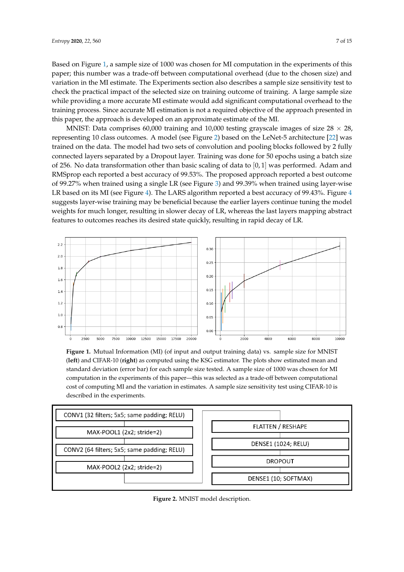Based on Figure [1,](#page-6-0) a sample size of 1000 was chosen for MI computation in the experiments of this paper; this number was a trade-off between computational overhead (due to the chosen size) and variation in the MI estimate. The Experiments section also describes a sample size sensitivity test to check the practical impact of the selected size on training outcome of training. A large sample size while providing a more accurate MI estimate would add significant computational overhead to the training process. Since accurate MI estimation is not a required objective of the approach presented in this paper, the approach is developed on an approximate estimate of the MI.

MNIST: Data comprises 60,000 training and 10,000 testing grayscale images of size  $28 \times 28$ , representing 10 class outcomes. A model (see Figure [2\)](#page-6-1) based on the LeNet-5 architecture [\[22\]](#page-14-12) was trained on the data. The model had two sets of convolution and pooling blocks followed by 2 fully connected layers separated by a Dropout layer. Training was done for 50 epochs using a batch size of 256. No data transformation other than basic scaling of data to [0, 1] was performed. Adam and RMSprop each reported a best accuracy of 99.53%. The proposed approach reported a best outcome of 99.27% when trained using a single LR (see Figure [3\)](#page-7-0) and 99.39% when trained using layer-wise LR based on its MI (see Figure [4\)](#page-7-1). The LARS algorithm reported a best accuracy of 99.[4](#page-7-1)3%. Figure 4 suggests layer-wise training may be beneficial because the earlier layers continue tuning the model weights for much longer, resulting in slower decay of LR, whereas the last layers mapping abstract features to outcomes reaches its desired state quickly, resulting in rapid decay of LR.

<span id="page-6-0"></span>

**Figure 1.** Mutual Information (MI) (of input and output training data) vs. sample size for MNIST (**left**) and CIFAR-10 (**right**) as computed using the KSG estimator. The plots show estimated mean and standard deviation (error bar) for each sample size tested. A sample size of 1000 was chosen for MI computation in the experiments of this paper—this was selected as a trade-off between computational cost of computing MI and the variation in estimates. A sample size sensitivity test using CIFAR-10 is described in the experiments.

<span id="page-6-1"></span>

**Figure 2.** MNIST model description.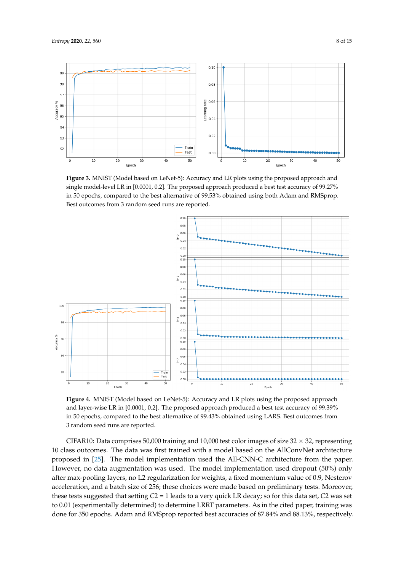<span id="page-7-0"></span>

**Figure 3.** MNIST (Model based on LeNet-5): Accuracy and LR plots using the proposed approach and single model-level LR in [0.0001, 0.2]. The proposed approach produced a best test accuracy of 99.27% in 50 epochs, compared to the best alternative of 99.53% obtained using both Adam and RMSprop. Best outcomes from 3 random seed runs are reported.

<span id="page-7-1"></span>

**Figure 4.** MNIST (Model based on LeNet-5): Accuracy and LR plots using the proposed approach and layer-wise LR in [0.0001, 0.2]. The proposed approach produced a best test accuracy of 99.39% in 50 epochs, compared to the best alternative of 99.43% obtained using LARS. Best outcomes from 3 random seed runs are reported.

CIFAR10: Data comprises 50,000 training and 10,000 test color images of size 32  $\times$  32, representing 10 class outcomes. The data was first trained with a model based on the AllConvNet architecture proposed in [\[25\]](#page-14-15). The model implementation used the All-CNN-C architecture from the paper. However, no data augmentation was used. The model implementation used dropout (50%) only after max-pooling layers, no L2 regularization for weights, a fixed momentum value of 0.9, Nesterov acceleration, and a batch size of 256; these choices were made based on preliminary tests. Moreover, these tests suggested that setting *C*2 = 1 leads to a very quick LR decay; so for this data set, *C*2 was set to 0.01 (experimentally determined) to determine LRRT parameters. As in the cited paper, training was done for 350 epochs. Adam and RMSprop reported best accuracies of 87.84% and 88.13%, respectively.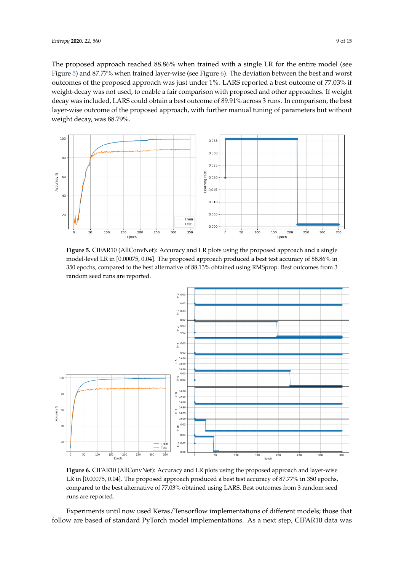The proposed approach reached 88.86% when trained with a single LR for the entire model (see Figure [5\)](#page-8-0) and 87.77% when trained layer-wise (see Figure [6\)](#page-8-1). The deviation between the best and worst outcomes of the proposed approach was just under 1%. LARS reported a best outcome of 77.03% if weight-decay was not used, to enable a fair comparison with proposed and other approaches. If weight decay was included, LARS could obtain a best outcome of 89.91% across 3 runs. In comparison, the best layer-wise outcome of the proposed approach, with further manual tuning of parameters but without weight decay, was 88.79%.

<span id="page-8-0"></span>

**Figure 5.** CIFAR10 (AllConvNet): Accuracy and LR plots using the proposed approach and a single model-level LR in [0.00075, 0.04]. The proposed approach produced a best test accuracy of 88.86% in 350 epochs, compared to the best alternative of 88.13% obtained using RMSprop. Best outcomes from 3 random seed runs are reported.

<span id="page-8-1"></span>

**Figure 6.** CIFAR10 (AllConvNet): Accuracy and LR plots using the proposed approach and layer-wise LR in [0.00075, 0.04]. The proposed approach produced a best test accuracy of 87.77% in 350 epochs, compared to the best alternative of 77.03% obtained using LARS. Best outcomes from 3 random seed runs are reported.

Experiments until now used Keras/Tensorflow implementations of different models; those that follow are based of standard PyTorch model implementations. As a next step, CIFAR10 data was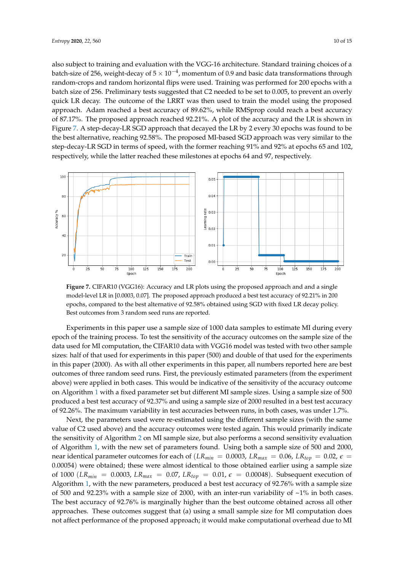also subject to training and evaluation with the VGG-16 architecture. Standard training choices of a batch-size of 256, weight-decay of 5  $\times$   $10^{-4}$ , momentum of 0.9 and basic data transformations through random-crops and random horizontal flips were used. Training was performed for 200 epochs with a batch size of 256. Preliminary tests suggested that *C*2 needed to be set to 0.005, to prevent an overly quick LR decay. The outcome of the LRRT was then used to train the model using the proposed approach. Adam reached a best accuracy of 89.62%, while RMSprop could reach a best accuracy of 87.17%. The proposed approach reached 92.21%. A plot of the accuracy and the LR is shown in Figure [7.](#page-9-0) A step-decay-LR SGD approach that decayed the LR by 2 every 30 epochs was found to be the best alternative, reaching 92.58%. The proposed MI-based SGD approach was very similar to the step-decay-LR SGD in terms of speed, with the former reaching 91% and 92% at epochs 65 and 102, respectively, while the latter reached these milestones at epochs 64 and 97, respectively.

<span id="page-9-0"></span>

**Figure 7.** CIFAR10 (VGG16): Accuracy and LR plots using the proposed approach and and a single model-level LR in [0.0003, 0.07]. The proposed approach produced a best test accuracy of 92.21% in 200 epochs, compared to the best alternative of 92.58% obtained using SGD with fixed LR decay policy. Best outcomes from 3 random seed runs are reported.

Experiments in this paper use a sample size of 1000 data samples to estimate MI during every epoch of the training process. To test the sensitivity of the accuracy outcomes on the sample size of the data used for MI computation, the CIFAR10 data with VGG16 model was tested with two other sample sizes: half of that used for experiments in this paper (500) and double of that used for the experiments in this paper (2000). As with all other experiments in this paper, all numbers reported here are best outcomes of three random seed runs. First, the previously estimated parameters (from the experiment above) were applied in both cases. This would be indicative of the sensitivity of the accuracy outcome on Algorithm [1](#page-3-0) with a fixed parameter set but different MI sample sizes. Using a sample size of 500 produced a best test accuracy of 92.37% and using a sample size of 2000 resulted in a best test accuracy of 92.26%. The maximum variability in test accuracies between runs, in both cases, was under 1.7%.

Next, the parameters used were re-estimated using the different sample sizes (with the same value of C2 used above) and the accuracy outcomes were tested again. This would primarily indicate the sensitivity of Algorithm [2](#page-4-0) on MI sample size, but also performs a second sensitivity evaluation of Algorithm [1,](#page-3-0) with the new set of parameters found. Using both a sample size of 500 and 2000, near identical parameter outcomes for each of ( $LR_{min} = 0.0003$ ,  $LR_{max} = 0.06$ ,  $LR_{top} = 0.02$ ,  $\epsilon =$ 0.00054) were obtained; these were almost identical to those obtained earlier using a sample size of 1000 ( $LR_{min}$  = 0.0003,  $LR_{max}$  = 0.07,  $LR_{top}$  = 0.01,  $\epsilon$  = 0.00048). Subsequent execution of Algorithm [1,](#page-3-0) with the new parameters, produced a best test accuracy of 92.76% with a sample size of 500 and 92.23% with a sample size of 2000, with an inter-run variability of  $\sim$ 1% in both cases. The best accuracy of 92.76% is marginally higher than the best outcome obtained across all other approaches. These outcomes suggest that (a) using a small sample size for MI computation does not affect performance of the proposed approach; it would make computational overhead due to MI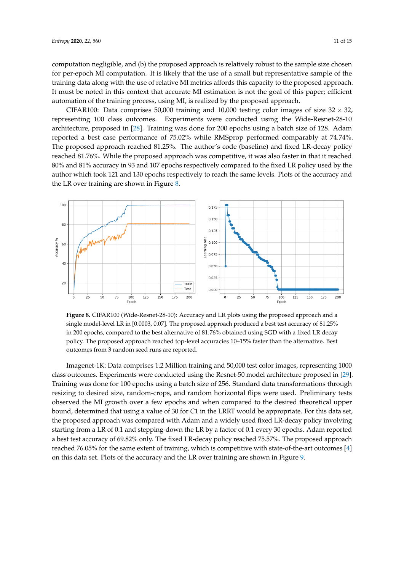computation negligible, and (b) the proposed approach is relatively robust to the sample size chosen for per-epoch MI computation. It is likely that the use of a small but representative sample of the training data along with the use of relative MI metrics affords this capacity to the proposed approach. It must be noted in this context that accurate MI estimation is not the goal of this paper; efficient automation of the training process, using MI, is realized by the proposed approach.

CIFAR100: Data comprises 50,000 training and 10,000 testing color images of size  $32 \times 32$ , representing 100 class outcomes. Experiments were conducted using the Wide-Resnet-28-10 architecture, proposed in [\[28\]](#page-14-18). Training was done for 200 epochs using a batch size of 128. Adam reported a best case performance of 75.02% while RMSprop performed comparably at 74.74%. The proposed approach reached 81.25%. The author's code (baseline) and fixed LR-decay policy reached 81.76%. While the proposed approach was competitive, it was also faster in that it reached 80% and 81% accuracy in 93 and 107 epochs respectively compared to the fixed LR policy used by the author which took 121 and 130 epochs respectively to reach the same levels. Plots of the accuracy and the LR over training are shown in Figure [8.](#page-10-0)

<span id="page-10-0"></span>

**Figure 8.** CIFAR100 (Wide-Resnet-28-10): Accuracy and LR plots using the proposed approach and a single model-level LR in [0.0003, 0.07]. The proposed approach produced a best test accuracy of 81.25% in 200 epochs, compared to the best alternative of 81.76% obtained using SGD with a fixed LR decay policy. The proposed approach reached top-level accuracies 10–15% faster than the alternative. Best outcomes from 3 random seed runs are reported.

Imagenet-1K: Data comprises 1.2 Million training and 50,000 test color images, representing 1000 class outcomes. Experiments were conducted using the Resnet-50 model architecture proposed in [\[29\]](#page-14-19). Training was done for 100 epochs using a batch size of 256. Standard data transformations through resizing to desired size, random-crops, and random horizontal flips were used. Preliminary tests observed the MI growth over a few epochs and when compared to the desired theoretical upper bound, determined that using a value of 30 for *C*1 in the LRRT would be appropriate. For this data set, the proposed approach was compared with Adam and a widely used fixed LR-decay policy involving starting from a LR of 0.1 and stepping-down the LR by a factor of 0.1 every 30 epochs. Adam reported a best test accuracy of 69.82% only. The fixed LR-decay policy reached 75.57%. The proposed approach reached 76.05% for the same extent of training, which is competitive with state-of-the-art outcomes [\[4\]](#page-13-3) on this data set. Plots of the accuracy and the LR over training are shown in Figure [9.](#page-11-0)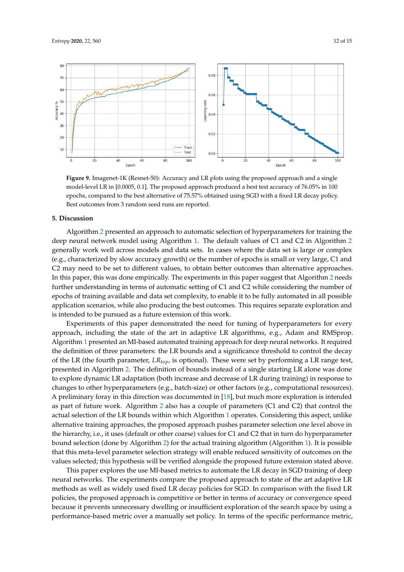

<span id="page-11-0"></span>

**Figure 9.** Imagenet-1K (Resnet-50): Accuracy and LR plots using the proposed approach and a single model-level LR in [0.0005, 0.1]. The proposed approach produced a best test accuracy of 76.05% in 100 epochs, compared to the best alternative of 75.57% obtained using SGD with a fixed LR decay policy. Best outcomes from 3 random seed runs are reported.

#### **5. Discussion**

Algorithm [2](#page-4-0) presented an approach to automatic selection of hyperparameters for training the deep neural network model using Algorithm [1.](#page-3-0) The default values of C1 and C2 in Algorithm [2](#page-4-0) generally work well across models and data sets. In cases where the data set is large or complex (e.g., characterized by slow accuracy growth) or the number of epochs is small or very large, C1 and C2 may need to be set to different values, to obtain better outcomes than alternative approaches. In this paper, this was done empirically. The experiments in this paper suggest that Algorithm [2](#page-4-0) needs further understanding in terms of automatic setting of C1 and C2 while considering the number of epochs of training available and data set complexity, to enable it to be fully automated in all possible application scenarios, while also producing the best outcomes. This requires separate exploration and is intended to be pursued as a future extension of this work.

Experiments of this paper demonstrated the need for tuning of hyperparameters for every approach, including the state of the art in adaptive LR algorithms, e.g., Adam and RMSprop. Algorithm [1](#page-3-0) presented an MI-based automated training approach for deep neural networks. It required the definition of three parameters: the LR bounds and a significance threshold to control the decay of the LR (the fourth parameter, *LRtop*, is optional). These were set by performing a LR range test, presented in Algorithm [2.](#page-4-0) The definition of bounds instead of a single starting LR alone was done to explore dynamic LR adaptation (both increase and decrease of LR during training) in response to changes to other hyperparameters (e.g., batch-size) or other factors (e.g., computational resources). A preliminary foray in this direction was documented in [\[18\]](#page-14-8), but much more exploration is intended as part of future work. Algorithm [2](#page-4-0) also has a couple of parameters (C1 and C2) that control the actual selection of the LR bounds within which Algorithm [1](#page-3-0) operates. Considering this aspect, unlike alternative training approaches, the proposed approach pushes parameter selection one level above in the hierarchy, i.e., it uses (default or other coarse) values for C1 and C2 that in turn do hyperparameter bound selection (done by Algorithm [2\)](#page-4-0) for the actual training algorithm (Algorithm [1\)](#page-3-0). It is possible that this meta-level parameter selection strategy will enable reduced sensitivity of outcomes on the values selected; this hypothesis will be verified alongside the proposed future extension stated above.

This paper explores the use MI-based metrics to automate the LR decay in SGD training of deep neural networks. The experiments compare the proposed approach to state of the art adaptive LR methods as well as widely used fixed LR decay policies for SGD. In comparison with the fixed LR policies, the proposed approach is competitive or better in terms of accuracy or convergence speed because it prevents unnecessary dwelling or insufficient exploration of the search space by using a performance-based metric over a manually set policy. In terms of the specific performance metric,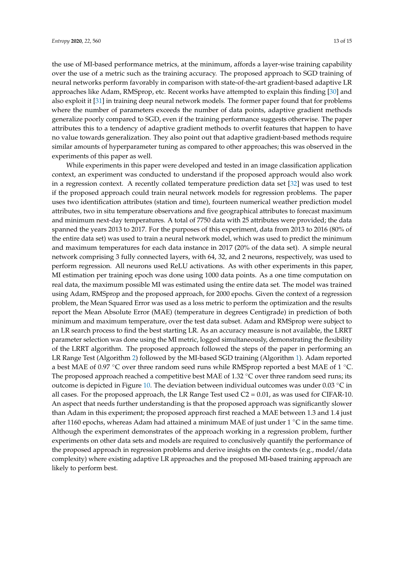the use of MI-based performance metrics, at the minimum, affords a layer-wise training capability over the use of a metric such as the training accuracy. The proposed approach to SGD training of neural networks perform favorably in comparison with state-of-the-art gradient-based adaptive LR approaches like Adam, RMSprop, etc. Recent works have attempted to explain this finding [\[30\]](#page-14-20) and also exploit it [\[31\]](#page-14-21) in training deep neural network models. The former paper found that for problems where the number of parameters exceeds the number of data points, adaptive gradient methods generalize poorly compared to SGD, even if the training performance suggests otherwise. The paper attributes this to a tendency of adaptive gradient methods to overfit features that happen to have no value towards generalization. They also point out that adaptive gradient-based methods require similar amounts of hyperparameter tuning as compared to other approaches; this was observed in the experiments of this paper as well.

While experiments in this paper were developed and tested in an image classification application context, an experiment was conducted to understand if the proposed approach would also work in a regression context. A recently collated temperature prediction data set [\[32\]](#page-14-22) was used to test if the proposed approach could train neural network models for regression problems. The paper uses two identification attributes (station and time), fourteen numerical weather prediction model attributes, two in situ temperature observations and five geographical attributes to forecast maximum and minimum next-day temperatures. A total of 7750 data with 25 attributes were provided; the data spanned the years 2013 to 2017. For the purposes of this experiment, data from 2013 to 2016 (80% of the entire data set) was used to train a neural network model, which was used to predict the minimum and maximum temperatures for each data instance in 2017 (20% of the data set). A simple neural network comprising 3 fully connected layers, with 64, 32, and 2 neurons, respectively, was used to perform regression. All neurons used ReLU activations. As with other experiments in this paper, MI estimation per training epoch was done using 1000 data points. As a one time computation on real data, the maximum possible MI was estimated using the entire data set. The model was trained using Adam, RMSprop and the proposed approach, for 2000 epochs. Given the context of a regression problem, the Mean Squared Error was used as a loss metric to perform the optimization and the results report the Mean Absolute Error (MAE) (temperature in degrees Centigrade) in prediction of both minimum and maximum temperature, over the test data subset. Adam and RMSprop were subject to an LR search process to find the best starting LR. As an accuracy measure is not available, the LRRT parameter selection was done using the MI metric, logged simultaneously, demonstrating the flexibility of the LRRT algorithm. The proposed approach followed the steps of the paper in performing an LR Range Test (Algorithm [2\)](#page-4-0) followed by the MI-based SGD training (Algorithm [1\)](#page-3-0). Adam reported a best MAE of 0.97 °C over three random seed runs while RMSprop reported a best MAE of 1 °C. The proposed approach reached a competitive best MAE of 1.32  $°C$  over three random seed runs; its outcome is depicted in Figure [10.](#page-13-9) The deviation between individual outcomes was under 0.03 ◦C in all cases. For the proposed approach, the LR Range Test used  $C_2 = 0.01$ , as was used for CIFAR-10. An aspect that needs further understanding is that the proposed approach was significantly slower than Adam in this experiment; the proposed approach first reached a MAE between 1.3 and 1.4 just after 1160 epochs, whereas Adam had attained a minimum MAE of just under 1  $\degree$ C in the same time. Although the experiment demonstrates of the approach working in a regression problem, further experiments on other data sets and models are required to conclusively quantify the performance of the proposed approach in regression problems and derive insights on the contexts (e.g., model/data complexity) where existing adaptive LR approaches and the proposed MI-based training approach are likely to perform best.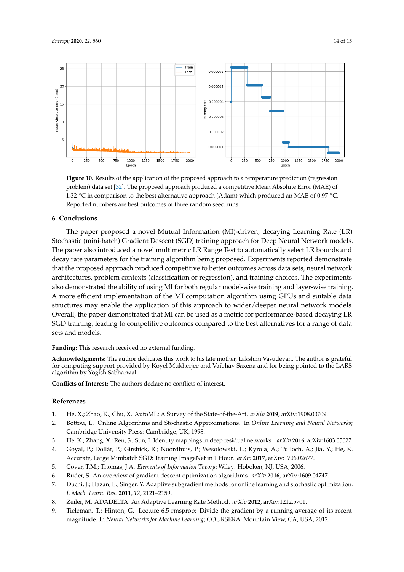<span id="page-13-9"></span>

**Figure 10.** Results of the application of the proposed approach to a temperature prediction (regression problem) data set [\[32\]](#page-14-22). The proposed approach produced a competitive Mean Absolute Error (MAE) of 1.32 ◦C in comparison to the best alternative approach (Adam) which produced an MAE of 0.97 ◦C. Reported numbers are best outcomes of three random seed runs.

## **6. Conclusions**

The paper proposed a novel Mutual Information (MI)-driven, decaying Learning Rate (LR) Stochastic (mini-batch) Gradient Descent (SGD) training approach for Deep Neural Network models. The paper also introduced a novel multimetric LR Range Test to automatically select LR bounds and decay rate parameters for the training algorithm being proposed. Experiments reported demonstrate that the proposed approach produced competitive to better outcomes across data sets, neural network architectures, problem contexts (classification or regression), and training choices. The experiments also demonstrated the ability of using MI for both regular model-wise training and layer-wise training. A more efficient implementation of the MI computation algorithm using GPUs and suitable data structures may enable the application of this approach to wider/deeper neural network models. Overall, the paper demonstrated that MI can be used as a metric for performance-based decaying LR SGD training, leading to competitive outcomes compared to the best alternatives for a range of data sets and models.

**Funding:** This research received no external funding.

**Acknowledgments:** The author dedicates this work to his late mother, Lakshmi Vasudevan. The author is grateful for computing support provided by Koyel Mukherjee and Vaibhav Saxena and for being pointed to the LARS algorithm by Yogish Sabharwal.

**Conflicts of Interest:** The authors declare no conflicts of interest.

## **References**

- <span id="page-13-0"></span>1. He, X.; Zhao, K.; Chu, X. AutoML: A Survey of the State-of-the-Art. *arXiv* **2019**, arXiv:1908.00709.
- <span id="page-13-1"></span>2. Bottou, L. Online Algorithms and Stochastic Approximations. In *Online Learning and Neural Networks*; Cambridge University Press: Cambridge, UK, 1998.
- <span id="page-13-2"></span>3. He, K.; Zhang, X.; Ren, S.; Sun, J. Identity mappings in deep residual networks. *arXiv* **2016**, arXiv:1603.05027.
- <span id="page-13-3"></span>4. Goyal, P.; Dollár, P.; Girshick, R.; Noordhuis, P.; Wesolowski, L.; Kyrola, A.; Tulloch, A.; Jia, Y.; He, K. Accurate, Large Minibatch SGD: Training ImageNet in 1 Hour. *arXiv* **2017**, arXiv:1706.02677.
- <span id="page-13-4"></span>5. Cover, T.M.; Thomas, J.A. *Elements of Information Theory*; Wiley: Hoboken, NJ, USA, 2006.
- <span id="page-13-5"></span>6. Ruder, S. An overview of gradient descent optimization algorithms. *arXiv* **2016**, arXiv:1609.04747.
- <span id="page-13-6"></span>7. Duchi, J.; Hazan, E.; Singer, Y. Adaptive subgradient methods for online learning and stochastic optimization. *J. Mach. Learn. Res.* **2011**, *12*, 2121–2159.
- <span id="page-13-7"></span>8. Zeiler, M. ADADELTA: An Adaptive Learning Rate Method. *arXiv* **2012**, arXiv:1212.5701.
- <span id="page-13-8"></span>9. Tieleman, T.; Hinton, G. Lecture 6.5-rmsprop: Divide the gradient by a running average of its recent magnitude. In *Neural Networks for Machine Learning*; COURSERA: Mountain View, CA, USA, 2012.